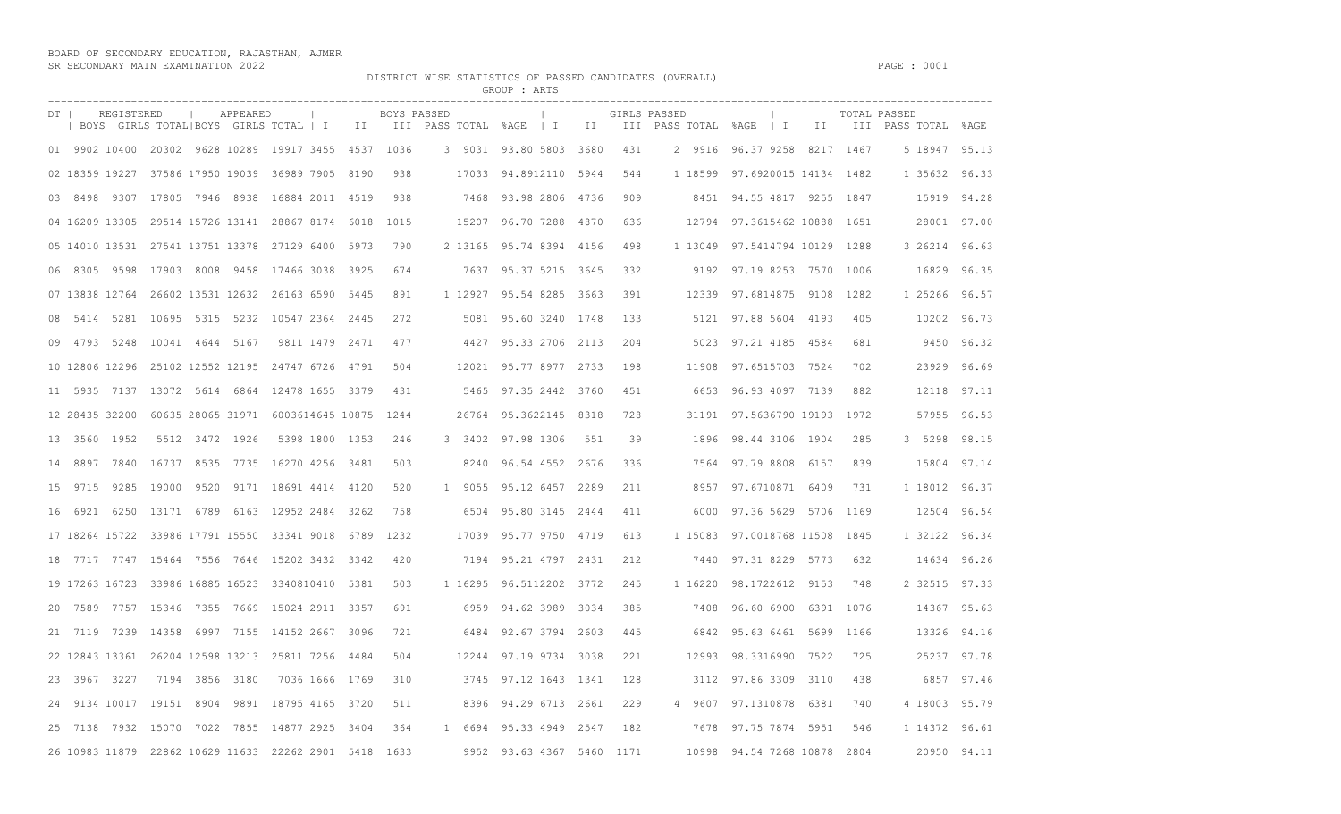## BOARD OF SECONDARY EDUCATION, RAJASTHAN, AJMER SR SECONDARY MAIN EXAMINATION 2022 PAGE : 0001

DISTRICT WISE STATISTICS OF PASSED CANDIDATES (OVERALL)

|                    |                                                                                                                                                   |                     |      |             | GROUP : ARTS                  |     |     |              |                               |      |      |               |             |
|--------------------|---------------------------------------------------------------------------------------------------------------------------------------------------|---------------------|------|-------------|-------------------------------|-----|-----|--------------|-------------------------------|------|------|---------------|-------------|
| REGISTERED<br>DT I | APPEARED<br>$\sim$ 1.0<br>  BOYS GIRLS TOTAL BOYS GIRLS TOTAL   I III III PASS TOTAL %AGE   I III III PASS TOTAL %AGE   I III III PASS TOTAL %AGE | $\sim$ 1.000 $\sim$ |      | BOYS PASSED | the control of the control of |     |     | GIRLS PASSED | $\mathbb{R}$                  |      |      | TOTAL PASSED  |             |
|                    | 01 9902 10400 20302 9628 10289 19917 3455 4537 1036                                                                                               |                     |      |             | 3 9031 93.80 5803 3680        |     | 431 |              | 2 9916 96.37 9258 8217 1467   |      |      | 5 18947 95.13 |             |
|                    | 02 18359 19227 37586 17950 19039 36989 7905 8190                                                                                                  |                     | 938  |             | 17033 94.8912110 5944         |     | 544 |              | 1 18599 97.6920015 14134 1482 |      |      | 1 35632 96.33 |             |
|                    | 03 8498 9307 17805 7946 8938 16884 2011 4519                                                                                                      |                     | 938  |             | 7468 93.98 2806 4736          |     | 909 |              | 8451 94.55 4817 9255 1847     |      |      |               | 15919 94.28 |
|                    | 04 16209 13305 29514 15726 13141 28867 8174 6018                                                                                                  |                     | 1015 |             | 15207 96.70 7288 4870         |     | 636 |              | 12794 97.3615462 10888 1651   |      |      |               | 28001 97.00 |
|                    | 05 14010 13531 27541 13751 13378 27129 6400 5973                                                                                                  |                     | 790  |             | 2 13165 95.74 8394 4156       |     | 498 |              | 1 13049 97.5414794 10129 1288 |      |      | 3 26214 96.63 |             |
|                    | 06 8305 9598 17903 8008 9458 17466 3038 3925                                                                                                      |                     | 674  |             | 7637 95.37 5215 3645          |     | 332 |              | 9192 97.19 8253 7570 1006     |      |      |               | 16829 96.35 |
|                    | 07 13838 12764 26602 13531 12632 26163 6590 5445                                                                                                  |                     | 891  |             | 1 12927 95.54 8285 3663       |     | 391 |              | 12339 97.6814875 9108 1282    |      |      | 1 25266 96.57 |             |
| 08                 | 5414 5281 10695 5315 5232 10547 2364 2445                                                                                                         |                     | 272  |             | 5081 95.60 3240 1748          |     | 133 |              | 5121 97.88 5604 4193          |      | 405  |               | 10202 96.73 |
|                    | 09 4793 5248 10041 4644 5167                                                                                                                      | 9811 1479 2471      | 477  |             | 4427 95.33 2706 2113          |     | 204 |              | 5023 97.21 4185 4584          |      | 681  |               | 9450 96.32  |
|                    | 10 12806 12296 25102 12552 12195 24747 6726 4791                                                                                                  |                     | 504  |             | 12021 95.77 8977 2733         |     | 198 |              | 11908 97.6515703 7524         |      | 702  |               | 23929 96.69 |
|                    | 11 5935 7137 13072 5614 6864 12478 1655 3379                                                                                                      |                     | 431  |             | 5465 97.35 2442 3760          |     | 451 |              | 6653 96.93 4097 7139          |      | 882  |               | 12118 97.11 |
|                    | 12 28435 32200 60635 28065 31971 6003614645 10875 1244                                                                                            |                     |      |             | 26764 95.3622145 8318         |     | 728 |              | 31191 97.5636790 19193        |      | 1972 |               | 57955 96.53 |
| 13 3560 1952       | 5512 3472 1926                                                                                                                                    | 5398 1800 1353      | 246  |             | 3 3402 97.98 1306             | 551 | 39  |              | 1896 98.44 3106 1904          |      | 285  | 3 5298 98.15  |             |
| 14                 | 8897 7840 16737 8535 7735 16270 4256 3481                                                                                                         |                     | 503  |             | 8240 96.54 4552 2676          |     | 336 |              | 7564 97.79 8808 6157          |      | 839  |               | 15804 97.14 |
|                    | 15 9715 9285 19000 9520 9171 18691 4414 4120                                                                                                      |                     | 520  |             | 1 9055 95.12 6457 2289        |     | 211 |              | 8957 97.6710871 6409          |      | 731  | 1 18012 96.37 |             |
| 16                 | 6921 6250 13171 6789 6163 12952 2484 3262                                                                                                         |                     | 758  |             | 6504 95.80 3145 2444          |     | 411 |              | 6000 97.36 5629 5706 1169     |      |      |               | 12504 96.54 |
|                    | 17 18264 15722 33986 17791 15550 33341 9018 6789                                                                                                  |                     | 1232 |             | 17039 95.77 9750 4719         |     | 613 |              | 1 15083 97.0018768 11508      |      | 1845 | 1 32122 96.34 |             |
|                    | 18 7717 7747 15464 7556 7646 15202 3432 3342                                                                                                      |                     | 420  |             | 7194 95.21 4797 2431          |     | 212 |              | 7440 97.31 8229 5773          |      | 632  |               | 14634 96.26 |
|                    | 19 17263 16723 33986 16885 16523 3340810410 5381                                                                                                  |                     | 503  |             | 1 16295 96.5112202 3772       |     | 245 |              | 1 16220 98.1722612 9153       |      | 748  | 2 32515 97.33 |             |
| 20                 | 7589 7757 15346 7355 7669 15024 2911 3357                                                                                                         |                     | 691  |             | 6959 94.62 3989 3034          |     | 385 |              | 7408 96.60 6900               | 6391 | 1076 |               | 14367 95.63 |
|                    | 21 7119 7239 14358 6997 7155 14152 2667 3096                                                                                                      |                     | 721  |             | 6484 92.67 3794 2603          |     | 445 |              | 6842 95.63 6461 5699          |      | 1166 |               | 13326 94.16 |
|                    | 22 12843 13361 26204 12598 13213 25811 7256 4484                                                                                                  |                     | 504  |             | 12244 97.19 9734 3038         |     | 221 |              | 12993 98.3316990 7522         |      | 725  |               | 25237 97.78 |
| 23 3967 3227       | 7194 3856 3180                                                                                                                                    | 7036 1666 1769      | 310  |             | 3745 97.12 1643 1341          |     | 128 |              | 3112 97.86 3309 3110          |      | 438  |               | 6857 97.46  |
| 24                 | 9134 10017 19151 8904 9891 18795 4165 3720                                                                                                        |                     | 511  |             | 8396 94.29 6713 2661          |     | 229 |              | 4 9607 97.1310878 6381        |      | 740  | 4 18003 95.79 |             |
|                    | 25 7138 7932 15070 7022 7855 14877 2925 3404                                                                                                      |                     | 364  |             | 1 6694 95.33 4949 2547        |     | 182 |              | 7678 97.75 7874 5951          |      | 546  | 1 14372 96.61 |             |
|                    | 26 10983 11879 22862 10629 11633 22262 2901 5418                                                                                                  |                     | 1633 |             | 9952 93.63 4367 5460 1171     |     |     |              | 10998 94.54 7268 10878        |      | 2804 |               | 20950 94.11 |